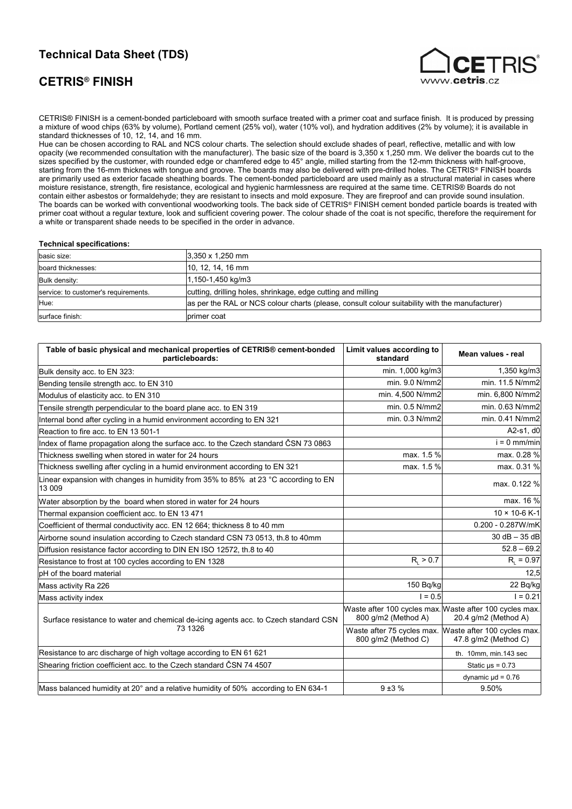# **Technical Data Sheet (TDS)**

## **CETRIS® FINISH**



CETRIS® FINISH is a cement-bonded particleboard with smooth surface treated with a primer coat and surface finish. It is produced by pressing a mixture of wood chips (63% by volume), Portland cement (25% vol), water (10% vol), and hydration additives (2% by volume); it is available in standard thicknesses of 10, 12, 14, and 16 mm.

Hue can be chosen according to RAL and NCS colour charts. The selection should exclude shades of pearl, reflective, metallic and with low opacity (we recommended consultation with the manufacturer). The basic size of the board is  $3,350 \times 1,250$  mm. We deliver the boards cut to the sizes specified by the customer, with rounded edge or chamfered edge to 45° angle, milled starting from the 12-mm thickness with half-groove, starting from the 16-mm thicknes with tongue and groove. The boards may also be delivered with pre-drilled holes. The CETRIS® FINISH boards are primarily used as exterior facade sheathing boards. The cement-bonded particleboard are used mainly as a structural material in cases where moisture resistance, strength, fire resistance, ecological and hygienic harmlessness are required at the same time. CETRIS® Boards do not contain either asbestos or formaldehyde; they are resistant to insects and mold exposure. They are fireproof and can provide sound insulation. The boards can be worked with conventional woodworking tools. The back side of CETRIS® FINISH cement bonded particle boards is treated with primer coat without a regular texture, look and sufficient covering power. The colour shade of the coat is not specific, therefore the requirement for a white or transparent shade needs to be specified in the order in advance.

#### **Technical specifications:**

| basic size:                          | $3,350 \times 1,250$ mm                                                                        |
|--------------------------------------|------------------------------------------------------------------------------------------------|
| board thicknesses:                   | $ 10, 12, 14, 16$ mm                                                                           |
| Bulk density:                        | 1,150-1,450 kg/m3                                                                              |
| service: to customer's requirements. | cutting, drilling holes, shrinkage, edge cutting and milling                                   |
| Hue:                                 | as per the RAL or NCS colour charts (please, consult colour suitability with the manufacturer) |
| surface finish:                      | primer coat                                                                                    |

| Table of basic physical and mechanical properties of CETRIS® cement-bonded<br>particleboards: | Limit values according to<br>standard | Mean values - real                                                              |
|-----------------------------------------------------------------------------------------------|---------------------------------------|---------------------------------------------------------------------------------|
| Bulk density acc. to EN 323:                                                                  | min. 1,000 kg/m3                      | 1,350 kg/m3                                                                     |
| Bending tensile strength acc. to EN 310                                                       | min. 9.0 N/mm2                        | min. 11.5 N/mm2                                                                 |
| Modulus of elasticity acc. to EN 310                                                          | min. 4,500 N/mm2                      | min. 6,800 N/mm2                                                                |
| Tensile strength perpendicular to the board plane acc. to EN 319                              | min. 0.5 N/mm2                        | min. 0.63 N/mm2                                                                 |
| Internal bond after cycling in a humid environment according to EN 321                        | min. 0.3 N/mm2                        | min. 0.41 N/mm2                                                                 |
| Reaction to fire acc. to EN 13 501-1                                                          |                                       | A2-s1, d0                                                                       |
| Index of flame propagation along the surface acc. to the Czech standard ČSN 73 0863           |                                       | $i = 0$ mm/min                                                                  |
| Thickness swelling when stored in water for 24 hours                                          | max. 1.5 %                            | max. 0.28 %                                                                     |
| Thickness swelling after cycling in a humid environment according to EN 321                   | max. 1.5 %                            | max. 0.31 %                                                                     |
| Linear expansion with changes in humidity from 35% to 85% at 23 °C according to EN<br>13 009  |                                       | max. 0.122 %                                                                    |
| Water absorption by the board when stored in water for 24 hours                               |                                       | max. 16 %                                                                       |
| Thermal expansion coefficient acc. to EN 13 471                                               |                                       | 10 × 10-6 K-1                                                                   |
| Coefficient of thermal conductivity acc. EN 12 664; thickness 8 to 40 mm                      |                                       | 0.200 - 0.287W/mK                                                               |
| Airborne sound insulation according to Czech standard CSN 73 0513, th.8 to 40mm               |                                       | $30 dB - 35 dB$                                                                 |
| Diffusion resistance factor according to DIN EN ISO 12572, th.8 to 40                         |                                       | $52.8 - 69.2$                                                                   |
| Resistance to frost at 100 cycles according to EN 1328                                        | $R_{1} > 0.7$                         | $R_{1} = 0.97$                                                                  |
| pH of the board material                                                                      |                                       | 12,5                                                                            |
| Mass activity Ra 226                                                                          | 150 Bg/kg                             | 22 Bq/kg                                                                        |
| Mass activity index                                                                           | $1 = 0.5$                             | $1 = 0.21$                                                                      |
| Surface resistance to water and chemical de-icing agents acc. to Czech standard CSN           | 800 g/m2 (Method A)                   | Waste after 100 cycles max. Waste after 100 cycles max.<br>20.4 g/m2 (Method A) |
| 73 1326                                                                                       | 800 q/m2 (Method C)                   | Waste after 75 cycles max. Waste after 100 cycles max.<br>47.8 g/m2 (Method C)  |
| Resistance to arc discharge of high voltage according to EN 61 621                            |                                       | th. 10mm, min.143 sec                                                           |
| Shearing friction coefficient acc. to the Czech standard ČSN 74 4507                          |                                       | Static $\mu s = 0.73$                                                           |
|                                                                                               |                                       | dynamic $\mu$ d = 0.76                                                          |
| Mass balanced humidity at 20° and a relative humidity of 50% according to EN 634-1            | $9 + 3%$                              | 9.50%                                                                           |